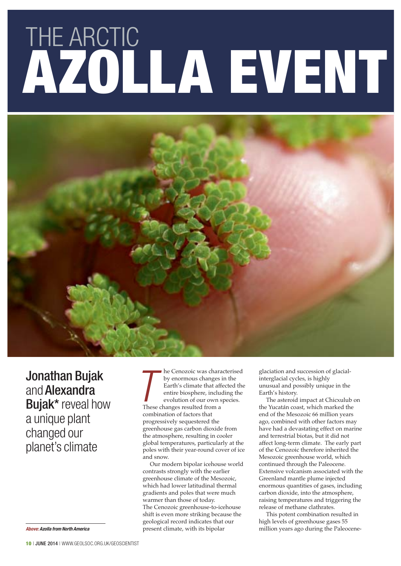# AZOLLA EVENT **THE ARCTIC**



Jonathan Bujak and Alexandra Bujak\* reveal how a unique plant changed our planet's climate

**Above: Azolla from North America**

he Cenozoic was characterised by enormous changes in the Earth's climate that affected the entire biosphere, including the evolution of our own species. The Cenozoic was characterized by enormous changes Earth's climate that affective include evolution of our own space of the contracted from a space of the changes resulted from a combination of factors that progressively sequestered the greenhouse gas carbon dioxide from the atmosphere, resulting in cooler global temperatures, particularly at the poles with their year-round cover of ice and snow.

Our modern bipolar icehouse world contrasts strongly with the earlier greenhouse climate of the Mesozoic, which had lower latitudinal thermal gradients and poles that were much warmer than those of today. The Cenozoic greenhouse-to-icehouse shift is even more striking because the geological record indicates that our present climate, with its bipolar

glaciation and succession of glacialinterglacial cycles, is highly unusual and possibly unique in the Earth's history.

The asteroid impact at Chicxulub on the Yucatán coast, which marked the end of the Mesozoic 66 million years ago, combined with other factors may have had a devastating effect on marine and terrestrial biotas, but it did not affect long-term climate. The early part of the Cenozoic therefore inherited the Mesozoic greenhouse world, which continued through the Paleocene. Extensive volcanism associated with the Greenland mantle plume injected enormous quantities of gases, including carbon dioxide, into the atmosphere, raising temperatures and triggering the release of methane clathrates.

This potent combination resulted in high levels of greenhouse gases 55 million years ago during the Paleocene-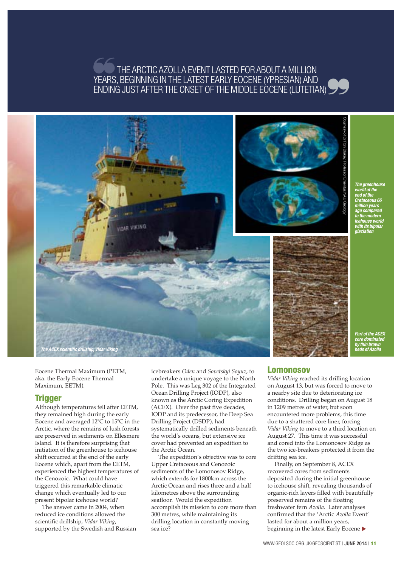# THE ARCTIC AZOLLA EVENT LASTED FOR ABOUT A MILLION YEARS, BEGINNING IN THE LATEST EARLY EOCENE (YPRESIAN) AND ENDING JUST AFTER THE ONSET OF THE MIDDLE EOCENE (LUTETIAN) ❞ ❞



**world at the end of the Cretaceous 66 million years ago compared to the modern icehouse world with its bipolar glaciation**

Eocene Thermal Maximum (PETM, aka. the Early Eocene Thermal Maximum, EETM).

### **Trigger**

Although temperatures fell after EETM, they remained high during the early Eocene and averaged 12°C to 15°C in the Arctic, where the remains of lush forests are preserved in sediments on Ellesmere Island. It is therefore surprising that initiation of the greenhouse to icehouse shift occurred at the end of the early Eocene which, apart from the EETM, experienced the highest temperatures of the Cenozoic. What could have triggered this remarkable climatic change which eventually led to our present bipolar icehouse world?

The answer came in 2004, when reduced ice conditions allowed the scientific drillship, *Vidar Viking*, supported by the Swedish and Russian icebreakers *Oden* and *Sovetskyi Soyuz*, to undertake a unique voyage to the North Pole. This was Leg 302 of the Integrated Ocean Drilling Project (IODP), also known as the Arctic Coring Expedition (ACEX). Over the past five decades, IODP and its predecessor, the Deep Sea Drilling Project (DSDP), had systematically drilled sediments beneath the world's oceans, but extensive ice cover had prevented an expedition to the Arctic Ocean.

The expedition's objective was to core Upper Cretaceous and Cenozoic sediments of the Lomonosov Ridge, which extends for 1800km across the Arctic Ocean and rises three and a half kilometres above the surrounding seafloor. Would the expedition accomplish its mission to core more than 300 metres, while maintaining its drilling location in constantly moving sea ice?

## Lomonosov

*Vidar Viking* reached its drilling location on August 13, but was forced to move to a nearby site due to deteriorating ice conditions. Drilling began on August 18 in 1209 metres of water, but soon encountered more problems, this time due to a shattered core liner, forcing *Vidar Viking* to move to a third location on August 27. This time it was successful and cored into the Lomonosov Ridge as the two ice-breakers protected it from the drifting sea ice.

Finally, on September 8, ACEX recovered cores from sediments deposited during the initial greenhouse to icehouse shift, revealing thousands of organic-rich layers filled with beautifully preserved remains of the floating freshwater fern *Azolla*. Later analyses confirmed that the 'Arctic *Azolla* Event' lasted for about a million years, beginning in the latest Early Eocene ▶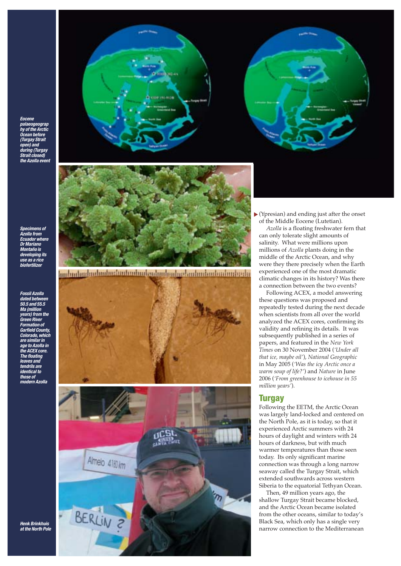**Eocene palaeogeograp hy of the Arctic Ocean before (Turgay Strait open) and** during (Turgay **Strait closed) the Azolla event**





**Specimens of Azolla from Ecuador where Dr Mariano Montaño is developing its use as a rice biofertilizer**

**Fossil Azolla dated betw 50.5 and 55.5 Ma (million years) from the Green River Formation of Garfield County, Colorado, which are similar in age to Azolla in the ACEX core. The floating leaves and tendrils are identical to those of modern Azolla**



<u>Innimilad milaalaalaalaa laatantantantantantantantantantanta</u>





 $\blacktriangleright$  (Ypresian) and ending just after the onset of the Middle Eocene (Lutetian).

*Azolla* is a floating freshwater fern that can only tolerate slight amounts of salinity. What were millions upon millions of *Azolla* plants doing in the middle of the Arctic Ocean, and why were they there precisely when the Earth experienced one of the most dramatic climatic changes in its history? Was there a connection between the two events?

Following ACEX, a model answering these questions was proposed and repeatedly tested during the next decade when scientists from all over the world analyzed the ACEX cores, confirming its validity and refining its details. It was subsequently published in a series of papers, and featured in the *New York Times* on 30 November 2004 (*'Under all that ice, maybe oil'*), *National Geographic* in May 2005 (*'Was the icy Arctic once a warm soup of life?'*) and *Nature* in June 2006 (*'From greenhouse to icehouse in 55 million years'*).

#### **Turgay**

Following the EETM, the Arctic Ocean was largely land-locked and centered on the North Pole, as it is today, so that it experienced Arctic summers with 24 hours of daylight and winters with 24 hours of darkness, but with much warmer temperatures than those seen today. Its only significant marine connection was through a long narrow seaway called the Turgay Strait, which extended southwards across western Siberia to the equatorial Tethyan Ocean.

Then, 49 million years ago, the shallow Turgay Strait became blocked, and the Arctic Ocean became isolated from the other oceans, similar to today's Black Sea, which only has a single very narrow connection to the Mediterranean

**Henk Brinkhuis at the North Pole**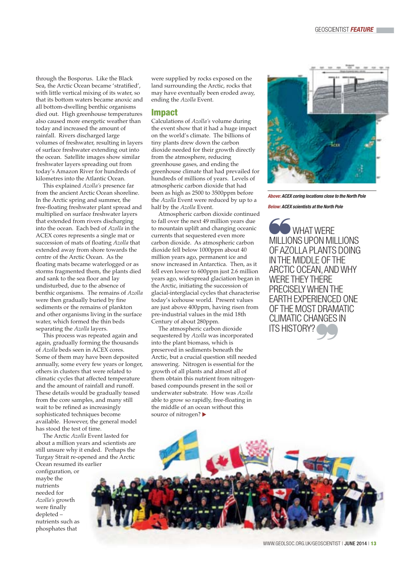through the Bosporus. Like the Black Sea, the Arctic Ocean became 'stratified', with little vertical mixing of its water, so that its bottom waters became anoxic and all bottom-dwelling benthic organisms died out. High greenhouse temperatures also caused more energetic weather than today and increased the amount of rainfall. Rivers discharged large volumes of freshwater, resulting in layers of surface freshwater extending out into the ocean. Satellite images show similar freshwater layers spreading out from today's Amazon River for hundreds of kilometres into the Atlantic Ocean.

This explained *Azolla's* presence far from the ancient Arctic Ocean shoreline. In the Arctic spring and summer, the free-floating freshwater plant spread and multiplied on surface freshwater layers that extended from rivers discharging into the ocean. Each bed of *Azolla* in the ACEX cores represents a single mat or succession of mats of floating *Azolla* that extended away from shore towards the centre of the Arctic Ocean. As the floating mats became waterlogged or as storms fragmented them, the plants died and sank to the sea floor and lay undisturbed, due to the absence of benthic organisms. The remains of *Azolla* were then gradually buried by fine sediments or the remains of plankton and other organisms living in the surface water, which formed the thin beds separating the *Azolla* layers.

This process was repeated again and again, gradually forming the thousands of *Azolla* beds seen in ACEX cores. Some of them may have been deposited annually, some every few years or longer, others in clusters that were related to climatic cycles that affected temperature and the amount of rainfall and runoff. These details would be gradually teased from the core samples, and many still wait to be refined as increasingly sophisticated techniques become available. However, the general model has stood the test of time.

The Arctic *Azolla* Event lasted for about a million years and scientists are still unsure why it ended. Perhaps the Turgay Strait re-opened and the Arctic Ocean resumed its earlier

configuration, or maybe the nutrients needed for *Azolla's* growth were finally depleted – nutrients such as phosphates that

were supplied by rocks exposed on the land surrounding the Arctic, rocks that may have eventually been eroded away, ending the *Azolla* Event.

#### Impact

Calculations of *Azolla's* volume during the event show that it had a huge impact on the world's climate. The billions of tiny plants drew down the carbon dioxide needed for their growth directly from the atmosphere, reducing greenhouse gases, and ending the greenhouse climate that had prevailed for hundreds of millions of years. Levels of atmospheric carbon dioxide that had been as high as 2500 to 3500ppm before the *Azolla* Event were reduced by up to a half by the *Azolla* Event.

Atmospheric carbon dioxide continued to fall over the next 49 million years due to mountain uplift and changing oceanic currents that sequestered even more carbon dioxide. As atmospheric carbon dioxide fell below 1000ppm about 40 million years ago, permanent ice and snow increased in Antarctica. Then, as it fell even lower to 600ppm just 2.6 million years ago, widespread glaciation began in the Arctic, initiating the succession of glacial-interglacial cycles that characterise today's icehouse world. Present values are just above 400ppm, having risen from pre-industrial values in the mid 18th Century of about 280ppm.

The atmospheric carbon dioxide sequestered by *Azolla* was incorporated into the plant biomass, which is preserved in sediments beneath the Arctic, but a crucial question still needed answering. Nitrogen is essential for the growth of all plants and almost all of them obtain this nutrient from nitrogenbased compounds present in the soil or underwater substrate. How was *Azolla* able to grow so rapidly, free-floating in the middle of an ocean without this source of nitrogen? ▶



**Above: ACEX coring locations close to the North Pole** 

**Below: ACEX scientists at the North Pole**

WHAT WERE MILLIONS UPON MILLIONS OF AZOLLA PLANTS DOING IN THE MIDDLE OF THE ARCTIC OCEAN, AND WHY WERE THEY THERE PRECISELY WHEN THE EARTH EXPERIENCED ONE OF THE MOST DRAMATIC CLIMATIC CHANGES IN ITS HISTORY? ❞ ❞

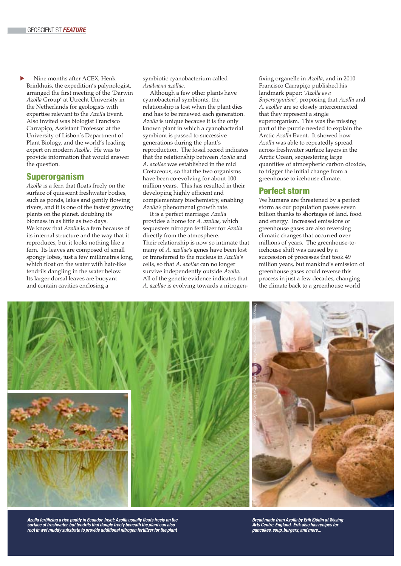Nine months after ACEX, Henk Brinkhuis, the expedition's palynologist, arranged the first meeting of the 'Darwin *Azolla* Group' at Utrecht University in the Netherlands for geologists with expertise relevant to the *Azolla* Event. Also invited was biologist Francisco Carrapiço, Assistant Professor at the University of Lisbon's Department of Plant Biology, and the world's leading expert on modern *Azolla*. He was to provide information that would answer the question. ▼

#### Superorganism

*Azolla* is a fern that floats freely on the surface of quiescent freshwater bodies, such as ponds, lakes and gently flowing rivers, and it is one of the fastest growing plants on the planet, doubling its biomass in as little as two days. We know that *Azolla* is a fern because of its internal structure and the way that it reproduces, but it looks nothing like a fern. Its leaves are composed of small spongy lobes, just a few millimetres long, which float on the water with hair-like tendrils dangling in the water below. Its larger dorsal leaves are buoyant and contain cavities enclosing a

symbiotic cyanobacterium called *Anabaena azollae*.

Although a few other plants have cyanobacterial symbionts, the relationship is lost when the plant dies and has to be renewed each generation. *Azolla* is unique because it is the only known plant in which a cyanobacterial symbiont is passed to successive generations during the plant's reproduction. The fossil record indicates that the relationship between *Azolla* and *A. azollae* was established in the mid Cretaceous, so that the two organisms have been co-evolving for about 100 million years. This has resulted in their developing highly efficient and complementary biochemistry, enabling *Azolla's* phenomenal growth rate.

It is a perfect marriage: *Azolla* provides a home for *A. azollae*, which sequesters nitrogen fertilizer for *Azolla* directly from the atmosphere. Their relationship is now so intimate that many of *A. azollae's* genes have been lost or transferred to the nucleus in *Azolla's* cells, so that *A. azollae* can no longer survive independently outside *Azolla*. All of the genetic evidence indicates that *A. azollae* is evolving towards a nitrogenfixing organelle in *Azolla*, and in 2010 Francisco Carrapiço published his landmark paper: *'Azolla as a Superorganism'*, proposing that *Azolla* and *A. azollae* are so closely interconnected that they represent a single superorganism. This was the missing part of the puzzle needed to explain the Arctic *Azolla* Event. It showed how *Azolla* was able to repeatedly spread across freshwater surface layers in the Arctic Ocean, sequestering large quantities of atmospheric carbon dioxide, to trigger the initial change from a greenhouse to icehouse climate.

#### Perfect storm

We humans are threatened by a perfect storm as our population passes seven billion thanks to shortages of land, food and energy. Increased emissions of greenhouse gases are also reversing climatic changes that occurred over millions of years. The greenhouse-toicehouse shift was caused by a succession of processes that took 49 million years, but mankind's emission of greenhouse gases could reverse this process in just a few decades, changing the climate back to a greenhouse world



Azolla fertilizing a rice paddy in Ecuador Inset: Azolla usually floats freely on the<br>surface of freshwater, but tendrils that dangle freely beneath the plant can also<br>root in wet muddy substrate to provide additional nit

**Bread made from Azolla by Erik Sjödin at Wysing Arts Centre, England. Erik also has recipes for pancakes, soup, burgers, and more...**